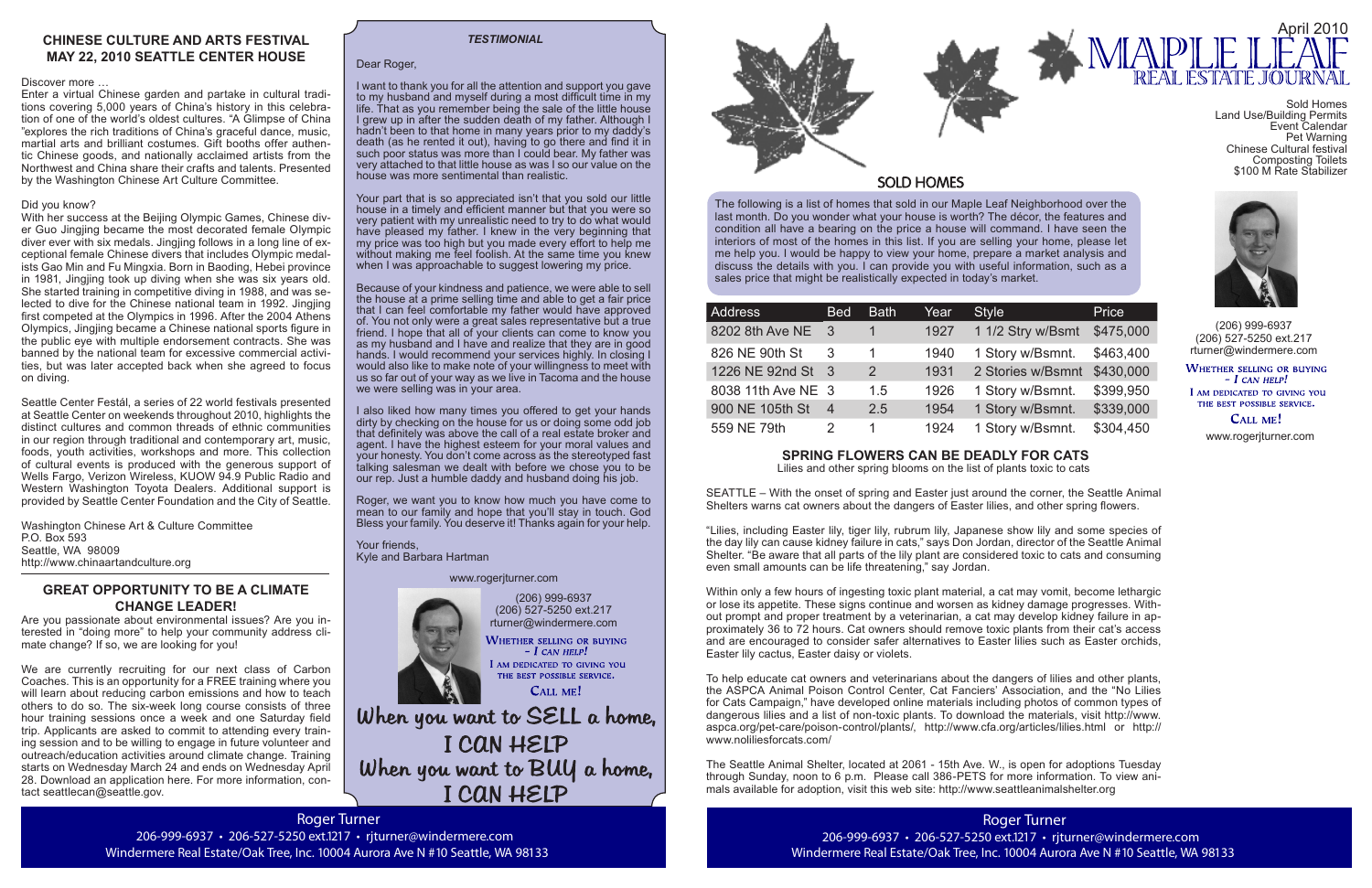Roger Turner 206-999-6937 · 206-527-5250 ext.1217 · rjturner@windermere.com Windermere Real Estate/Oak Tree, Inc. 10004 Aurora Ave N #10 Seattle, WA 98133

(206) 999-6937 (206) 527-5250 ext.217 rturner@windermere.com WHETHER SELLING OR BUYING

 $-$  I CAN HELP! I AM DEDICATED TO GIVING YOU THE BEST POSSIBLE SERVICE.

CALL ME!

When you want to SELL a home, I CAN HELP When you want to BUY a home, I CAN HELP

The following is a list of homes that sold in our Maple Leaf Neighborhood over the last month. Do you wonder what your house is worth? The décor, the features and condition all have a bearing on the price a house will command. I have seen the interiors of most of the homes in this list. If you are selling your home, please let me help you. I would be happy to view your home, prepare a market analysis and discuss the details with you. I can provide you with useful information, such as a sales price that might be realistically expected in today's market.

| Address            | <b>Bed</b>     | <b>Bath</b>   | Year | <b>Style</b>      | Price     |
|--------------------|----------------|---------------|------|-------------------|-----------|
| 8202 8th Ave NE    | - 3            |               | 1927 | 1 1/2 Stry w/Bsmt | \$475,000 |
| 826 NE 90th St     | 3              | 1             | 1940 | 1 Story w/Bsmnt.  | \$463,400 |
| 1226 NE 92nd St 3  |                | $\mathcal{P}$ | 1931 | 2 Stories w/Bsmnt | \$430,000 |
| 8038 11th Ave NE 3 |                | 1.5           | 1926 | 1 Story w/Bsmnt.  | \$399,950 |
| 900 NE 105th St    | $\overline{4}$ | 2.5           | 1954 | 1 Story w/Bsmnt.  | \$339,000 |
| 559 NE 79th        | 2              | 1.            | 1924 | 1 Story w/Bsmnt.  | \$304,450 |

(206) 999-6937 (206) 527-5250 ext.217 rturner@windermere.com

WHETHER SELLING OR BUYING  $-I$  CAN HELP! I AM DEDICATED TO GIVING YOU

THE BEST POSSIBLE SERVICE. **CALL ME!** 

## Dear Roger,

I want to thank you for all the attention and support you gave to my husband and myself during a most difficult time in my life. That as you remember being the sale of the little house I grew up in after the sudden death of my father. Although I hadn't been to that home in many years prior to my daddy's death (as he rented it out), having to go there and find it in such poor status was more than I could bear. My father was very attached to that little house as was I so our value on the house was more sentimental than realistic.

Your part that is so appreciated isn't that you sold our little house in a timely and efficient manner but that you were so very patient with my unrealistic need to try to do what would have pleased my father. I knew in the very beginning that my price was too high but you made every effort to help me without making me feel foolish. At the same time you knew when I was approachable to suggest lowering my price.



# **SOLD HOMES**

Because of your kindness and patience, we were able to sell the house at a prime selling time and able to get a fair price that I can feel comfortable my father would have approved of. You not only were a great sales representative but a true friend. I hope that all of your clients can come to know you as my husband and I have and realize that they are in good hands. I would recommend your services highly. In closing I would also like to make note of your willingness to meet with us so far out of your way as we live in Tacoma and the house we were selling was in your area.

I also liked how many times you offered to get your hands dirty by checking on the house for us or doing some odd job that definitely was above the call of a real estate broker and agent. I have the highest esteem for your moral values and your honesty. You don't come across as the stereotyped fast talking salesman we dealt with before we chose you to be our rep. Just a humble daddy and husband doing his job.

Roger, we want you to know how much you have come to mean to our family and hope that you'll stay in touch. God Bless your family. You deserve it! Thanks again for your help.

Your friends, Kyle and Barbara Hartman

## *TESTIMONIAL*

www.rogerjturner.com

### www.rogerjturner.com





# **SPRING FLOWERS CAN BE DEADLY FOR CATS**

Lilies and other spring blooms on the list of plants toxic to cats

SEATTLE – With the onset of spring and Easter just around the corner, the Seattle Animal Shelters warns cat owners about the dangers of Easter lilies, and other spring flowers.

"Lilies, including Easter lily, tiger lily, rubrum lily, Japanese show lily and some species of the day lily can cause kidney failure in cats," says Don Jordan, director of the Seattle Animal Shelter. "Be aware that all parts of the lily plant are considered toxic to cats and consuming even small amounts can be life threatening," say Jordan.

Within only a few hours of ingesting toxic plant material, a cat may vomit, become lethargic or lose its appetite. These signs continue and worsen as kidney damage progresses. Without prompt and proper treatment by a veterinarian, a cat may develop kidney failure in approximately 36 to 72 hours. Cat owners should remove toxic plants from their cat's access and are encouraged to consider safer alternatives to Easter lilies such as Easter orchids, Easter lily cactus, Easter daisy or violets.

To help educate cat owners and veterinarians about the dangers of lilies and other plants, the ASPCA Animal Poison Control Center, Cat Fanciers' Association, and the "No Lilies for Cats Campaign," have developed online materials including photos of common types of dangerous lilies and a list of non-toxic plants. To download the materials, visit http://www. aspca.org/pet-care/poison-control/plants/, http://www.cfa.org/articles/lilies.html or http:// www.noliliesforcats.com/

The Seattle Animal Shelter, located at 2061 - 15th Ave. W., is open for adoptions Tuesday through Sunday, noon to 6 p.m. Please call 386-PETS for more information. To view animals available for adoption, visit this web site: http://www.seattleanimalshelter.org

# **CHINESE CULTURE AND ARTS FESTIVAL MAY 22, 2010 SEATTLE CENTER HOUSE**

## Discover more …

Enter a virtual Chinese garden and partake in cultural traditions covering 5,000 years of China's history in this celebration of one of the world's oldest cultures. "A Glimpse of China "explores the rich traditions of China's graceful dance, music, martial arts and brilliant costumes. Gift booths offer authentic Chinese goods, and nationally acclaimed artists from the Northwest and China share their crafts and talents. Presented by the Washington Chinese Art Culture Committee.

## Did you know?

With her success at the Beijing Olympic Games, Chinese diver Guo Jingjing became the most decorated female Olympic diver ever with six medals. Jingjing follows in a long line of exceptional female Chinese divers that includes Olympic medalists Gao Min and Fu Mingxia. Born in Baoding, Hebei province in 1981, Jingjing took up diving when she was six years old. She started training in competitive diving in 1988, and was selected to dive for the Chinese national team in 1992. Jingjing first competed at the Olympics in 1996. After the 2004 Athens Olympics, Jingjing became a Chinese national sports figure in the public eye with multiple endorsement contracts. She was banned by the national team for excessive commercial activities, but was later accepted back when she agreed to focus on diving.

Seattle Center Festál, a series of 22 world festivals presented at Seattle Center on weekends throughout 2010, highlights the distinct cultures and common threads of ethnic communities in our region through traditional and contemporary art, music, foods, youth activities, workshops and more. This collection of cultural events is produced with the generous support of Wells Fargo, Verizon Wireless, KUOW 94.9 Public Radio and Western Washington Toyota Dealers. Additional support is provided by Seattle Center Foundation and the City of Seattle.

Washington Chinese Art & Culture Committee P.O. Box 593 Seattle, WA 98009 http://www.chinaartandculture.org

# **GREAT OPPORTUNITY TO BE A CLIMATE CHANGE LEADER!**

Are you passionate about environmental issues? Are you interested in "doing more" to help your community address climate change? If so, we are looking for you!

We are currently recruiting for our next class of Carbon Coaches. This is an opportunity for a FREE training where you will learn about reducing carbon emissions and how to teach others to do so. The six-week long course consists of three hour training sessions once a week and one Saturday field trip. Applicants are asked to commit to attending every training session and to be willing to engage in future volunteer and outreach/education activities around climate change. Training starts on Wednesday March 24 and ends on Wednesday April 28. Download an application here. For more information, contact seattlecan@seattle.gov.